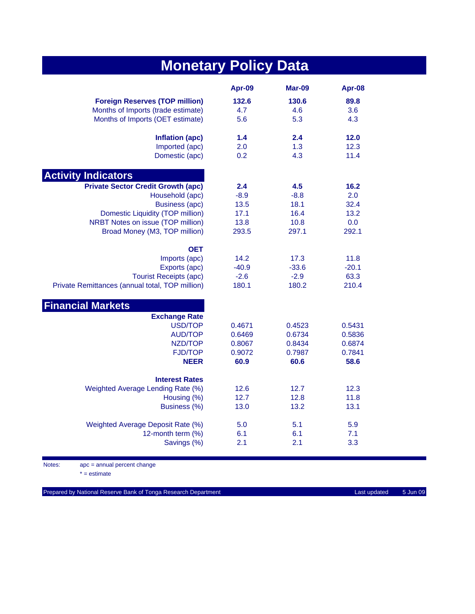| <b>Monetary Policy Data</b>                     |         |         |         |  |
|-------------------------------------------------|---------|---------|---------|--|
|                                                 | Apr-09  | Mar-09  | Apr-08  |  |
| <b>Foreign Reserves (TOP million)</b>           | 132.6   | 130.6   | 89.8    |  |
| Months of Imports (trade estimate)              | 4.7     | 4.6     | 3.6     |  |
| Months of Imports (OET estimate)                | 5.6     | 5.3     | 4.3     |  |
| Inflation (apc)                                 | 1.4     | 2.4     | $12.0$  |  |
| Imported (apc)                                  | 2.0     | 1.3     | 12.3    |  |
| Domestic (apc)                                  | 0.2     | 4.3     | 11.4    |  |
| <b>Activity Indicators</b>                      |         |         |         |  |
| <b>Private Sector Credit Growth (apc)</b>       | 2.4     | 4.5     | 16.2    |  |
| Household (apc)                                 | $-8.9$  | $-8.8$  | 2.0     |  |
| <b>Business (apc)</b>                           | 13.5    | 18.1    | 32.4    |  |
| Domestic Liquidity (TOP million)                | 17.1    | 16.4    | 13.2    |  |
| NRBT Notes on issue (TOP million)               | 13.8    | 10.8    | 0.0     |  |
| Broad Money (M3, TOP million)                   | 293.5   | 297.1   | 292.1   |  |
| <b>OET</b>                                      |         |         |         |  |
| Imports (apc)                                   | 14.2    | 17.3    | 11.8    |  |
| Exports (apc)                                   | $-40.9$ | $-33.6$ | $-20.1$ |  |
| <b>Tourist Receipts (apc)</b>                   | $-2.6$  | $-2.9$  | 63.3    |  |
| Private Remittances (annual total, TOP million) | 180.1   | 180.2   | 210.4   |  |
| <b>Financial Markets</b>                        |         |         |         |  |
| <b>Exchange Rate</b>                            |         |         |         |  |
| <b>USD/TOP</b>                                  | 0.4671  | 0.4523  | 0.5431  |  |
| <b>AUD/TOP</b>                                  | 0.6469  | 0.6734  | 0.5836  |  |
| NZD/TOP                                         | 0.8067  | 0.8434  | 0.6874  |  |
| <b>FJD/TOP</b>                                  | 0.9072  | 0.7987  | 0.7841  |  |
| <b>NEER</b>                                     | 60.9    | 60.6    | 58.6    |  |
| <b>Interest Rates</b>                           |         |         |         |  |
| Weighted Average Lending Rate (%)               | 12.6    | 12.7    | 12.3    |  |
| Housing (%)                                     | 12.7    | 12.8    | 11.8    |  |
| Business (%)                                    | 13.0    | 13.2    | 13.1    |  |
| Weighted Average Deposit Rate (%)               | 5.0     | 5.1     | 5.9     |  |
| 12-month term (%)                               | 6.1     | 6.1     | 7.1     |  |
| Savings (%)                                     | 2.1     | 2.1     | 3.3     |  |
|                                                 |         |         |         |  |

Notes: apc = annual percent change

 $* =$  estimate

Prepared by National Reserve Bank of Tonga Research Department Last updated Last updated 5 Jun 09